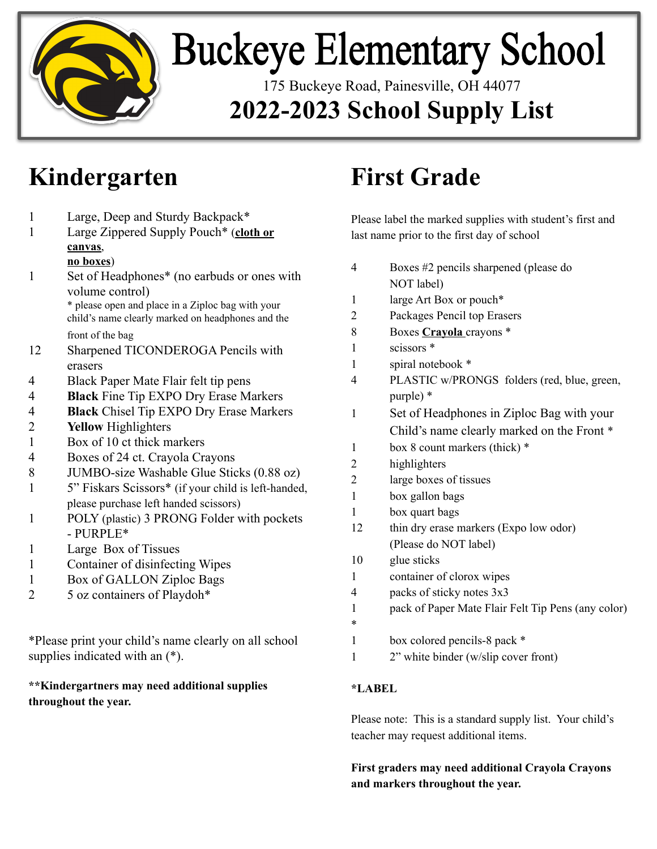

# **Buckeye Elementary School**

175 Buckeye Road, Painesville, OH 44077 **2022-2023 School Supply List**

## **Kindergarten**

1 Large, Deep and Sturdy Backpack\* 1 Large Zippered Supply Pouch\* (**cloth or canvas**,

#### **no boxes**)

- 1 Set of Headphones\* (no earbuds or ones with volume control) \* please open and place in a Ziploc bag with your child's name clearly marked on headphones and the front of the bag 12 Sharpened TICONDEROGA Pencils with erasers
- 4 Black Paper Mate Flair felt tip pens
- 4 **Black** Fine Tip EXPO Dry Erase Markers
- 4 **Black** Chisel Tip EXPO Dry Erase Markers
- 2 **Yellow** Highlighters
- 1 Box of 10 ct thick markers
- 4 Boxes of 24 ct. Crayola Crayons
- 8 JUMBO-size Washable Glue Sticks (0.88 oz)
- 1 5" Fiskars Scissors\* (if your child is left-handed, please purchase left handed scissors)
- 1 POLY (plastic) 3 PRONG Folder with pockets - PURPLE\*
- 1 Large Box of Tissues
- 1 Container of disinfecting Wipes
- 1 Box of GALLON Ziploc Bags
- 2 5 oz containers of Playdoh\*

\*Please print your child's name clearly on all school supplies indicated with an (\*).

#### **\*\*Kindergartners may need additional supplies throughout the year.**

# **First Grade**

Please label the marked supplies with student's first and last name prior to the first day of school

| 4              | Boxes #2 pencils sharpened (please do              |
|----------------|----------------------------------------------------|
|                | NOT label)                                         |
| 1              | large Art Box or pouch*                            |
| $\overline{2}$ | Packages Pencil top Erasers                        |
| 8              | Boxes Crayola crayons *                            |
| 1              | scissors <sup>*</sup>                              |
| 1              | spiral notebook *                                  |
| 4              | PLASTIC w/PRONGS folders (red, blue, green,        |
|                | purple) *                                          |
| 1              | Set of Headphones in Ziploc Bag with your          |
|                | Child's name clearly marked on the Front *         |
| 1              | box 8 count markers (thick) *                      |
| $\overline{2}$ | highlighters                                       |
| $\overline{2}$ | large boxes of tissues                             |
| $\mathbf{1}$   | box gallon bags                                    |
| $\mathbf{1}$   | box quart bags                                     |
| 12             | thin dry erase markers (Expo low odor)             |
|                | (Please do NOT label)                              |
| 10             | glue sticks                                        |
| 1              | container of clorox wipes                          |
| 4              | packs of sticky notes 3x3                          |
| 1              | pack of Paper Mate Flair Felt Tip Pens (any color) |
| *              |                                                    |
| 1              | box colored pencils-8 pack *                       |
| 1              | 2" white binder (w/slip cover front)               |
|                |                                                    |

### **\*LABEL**

Please note: This is a standard supply list. Your child's teacher may request additional items.

### **First graders may need additional Crayola Crayons and markers throughout the year.**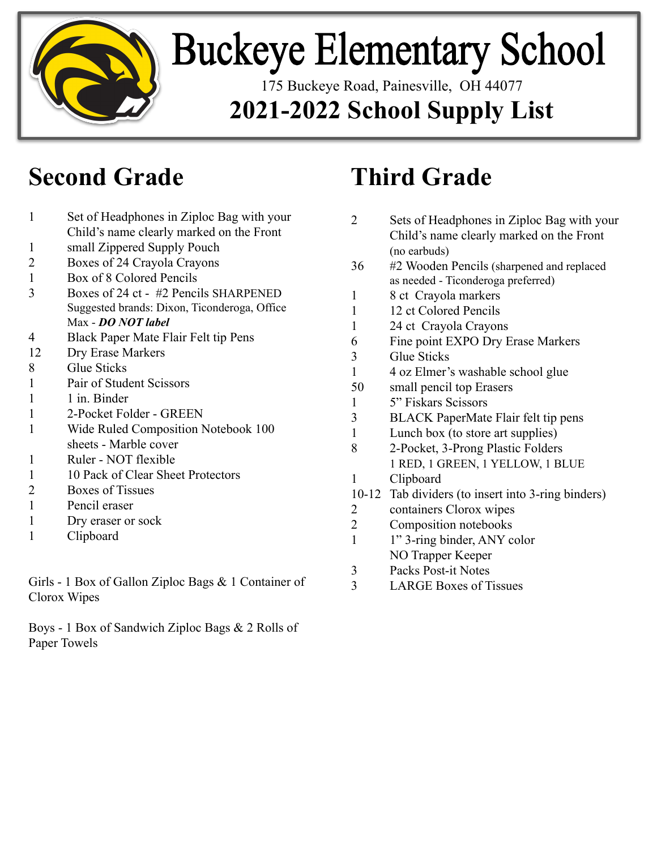

# **Buckeye Elementary School**

175 Buckeye Road, Painesville, OH 44077

## **2021-2022 School Supply List**

## **Second Grade**

- 1 Set of Headphones in Ziploc Bag with your Child's name clearly marked on the Front
- 1 small Zippered Supply Pouch
- 2 Boxes of 24 Crayola Crayons
- 1 Box of 8 Colored Pencils
- 3 Boxes of 24 ct #2 Pencils SHARPENED Suggested brands: Dixon, Ticonderoga, Office Max - *DO NOT label*
- 4 Black Paper Mate Flair Felt tip Pens
- 12 Dry Erase Markers
- 8 Glue Sticks
- 1 Pair of Student Scissors
- 1 1 in. Binder
- 1 2-Pocket Folder GREEN
- 1 Wide Ruled Composition Notebook 100 sheets - Marble cover
- 1 Ruler NOT flexible
- 1 10 Pack of Clear Sheet Protectors
- 2 Boxes of Tissues
- 1 Pencil eraser
- 1 Dry eraser or sock
- 1 Clipboard

Girls - 1 Box of Gallon Ziploc Bags & 1 Container of Clorox Wipes

Boys - 1 Box of Sandwich Ziploc Bags & 2 Rolls of Paper Towels

# **Third Grade**

- 2 Sets of Headphones in Ziploc Bag with your Child's name clearly marked on the Front (no earbuds)
- 36 #2 Wooden Pencils (sharpened and replaced as needed - Ticonderoga preferred)
- 1 8 ct Crayola markers
- 1 12 ct Colored Pencils
- 1 24 ct Crayola Crayons
- 6 Fine point EXPO Dry Erase Markers
- 3 Glue Sticks
- 1 4 oz Elmer's washable school glue
- 50 small pencil top Erasers
- 1 5" Fiskars Scissors
- 3 BLACK PaperMate Flair felt tip pens
- 1 Lunch box (to store art supplies)
- 8 2-Pocket, 3-Prong Plastic Folders 1 RED, 1 GREEN, 1 YELLOW, 1 BLUE
- 1 Clipboard
- 10-12 Tab dividers (to insert into 3-ring binders)
- 2 containers Clorox wipes
- 2 Composition notebooks
- 1 1" 3-ring binder, ANY color NO Trapper Keeper
- 3 Packs Post-it Notes
- 3 LARGE Boxes of Tissues